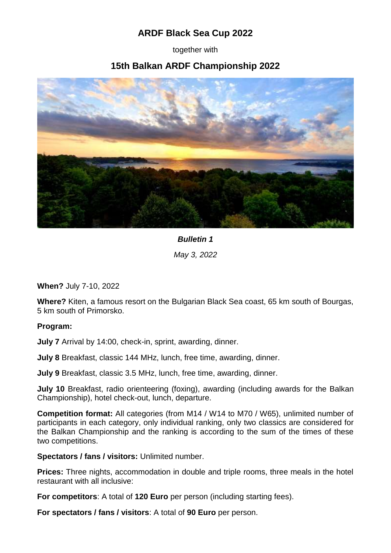## **ARDF Black Sea Cup 2022**

together with

## **15th Balkan ARDF Championship 2022**



## *Bulletin 1*

*May 3, 2022*

**When?** July 7-10, 2022

**Where?** Kiten, a famous resort on the Bulgarian Black Sea coast, 65 km south of Bourgas, 5 km south of Primorsko.

## **Program:**

**July 7** Arrival by 14:00, check-in, sprint, awarding, dinner.

**July 8** Breakfast, classic 144 MHz, lunch, free time, awarding, dinner.

**July 9** Breakfast, classic 3.5 MHz, lunch, free time, awarding, dinner.

**July 10** Breakfast, radio orienteering (foxing), awarding (including awards for the Balkan Championship), hotel check-out, lunch, departure.

**Competition format:** All categories (from M14 / W14 to M70 / W65), unlimited number of participants in each category, only individual ranking, only two classics are considered for the Balkan Championship and the ranking is according to the sum of the times of these two competitions.

**Spectators / fans / visitors:** Unlimited number.

**Prices:** Three nights, accommodation in double and triple rooms, three meals in the hotel restaurant with all inclusive:

**For competitors**: A total of **120 Euro** per person (including starting fees).

**For spectators / fans / visitors**: A total of **90 Euro** per person.